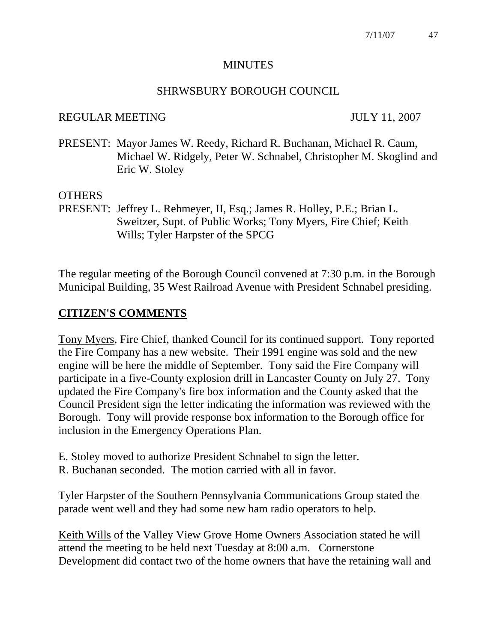#### MINUTES

#### SHRWSBURY BOROUGH COUNCIL

#### REGULAR MEETING JULY 11, 2007

PRESENT: Mayor James W. Reedy, Richard R. Buchanan, Michael R. Caum, Michael W. Ridgely, Peter W. Schnabel, Christopher M. Skoglind and Eric W. Stoley

## OTHERS

PRESENT: Jeffrey L. Rehmeyer, II, Esq.; James R. Holley, P.E.; Brian L. Sweitzer, Supt. of Public Works; Tony Myers, Fire Chief; Keith Wills; Tyler Harpster of the SPCG

The regular meeting of the Borough Council convened at 7:30 p.m. in the Borough Municipal Building, 35 West Railroad Avenue with President Schnabel presiding.

## **CITIZEN'S COMMENTS**

Tony Myers, Fire Chief, thanked Council for its continued support. Tony reported the Fire Company has a new website. Their 1991 engine was sold and the new engine will be here the middle of September. Tony said the Fire Company will participate in a five-County explosion drill in Lancaster County on July 27. Tony updated the Fire Company's fire box information and the County asked that the Council President sign the letter indicating the information was reviewed with the Borough. Tony will provide response box information to the Borough office for inclusion in the Emergency Operations Plan.

- E. Stoley moved to authorize President Schnabel to sign the letter.
- R. Buchanan seconded. The motion carried with all in favor.

Tyler Harpster of the Southern Pennsylvania Communications Group stated the parade went well and they had some new ham radio operators to help.

Keith Wills of the Valley View Grove Home Owners Association stated he will attend the meeting to be held next Tuesday at 8:00 a.m. Cornerstone Development did contact two of the home owners that have the retaining wall and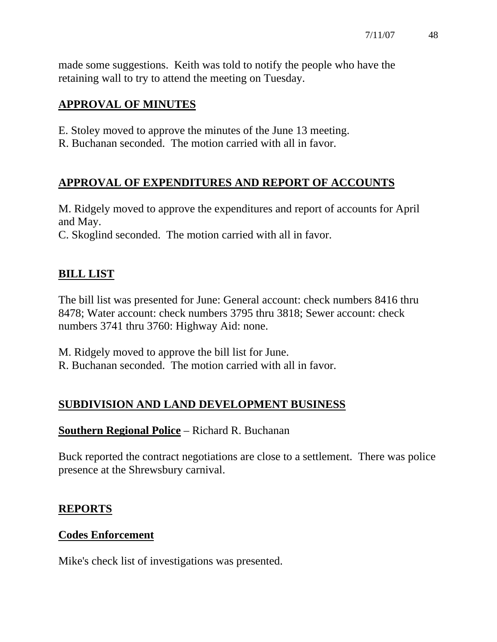made some suggestions. Keith was told to notify the people who have the retaining wall to try to attend the meeting on Tuesday.

# **APPROVAL OF MINUTES**

- E. Stoley moved to approve the minutes of the June 13 meeting.
- R. Buchanan seconded. The motion carried with all in favor.

# **APPROVAL OF EXPENDITURES AND REPORT OF ACCOUNTS**

M. Ridgely moved to approve the expenditures and report of accounts for April and May.

C. Skoglind seconded. The motion carried with all in favor.

# **BILL LIST**

The bill list was presented for June: General account: check numbers 8416 thru 8478; Water account: check numbers 3795 thru 3818; Sewer account: check numbers 3741 thru 3760: Highway Aid: none.

M. Ridgely moved to approve the bill list for June.

R. Buchanan seconded. The motion carried with all in favor.

# **SUBDIVISION AND LAND DEVELOPMENT BUSINESS**

# **Southern Regional Police** – Richard R. Buchanan

Buck reported the contract negotiations are close to a settlement. There was police presence at the Shrewsbury carnival.

## **REPORTS**

## **Codes Enforcement**

Mike's check list of investigations was presented.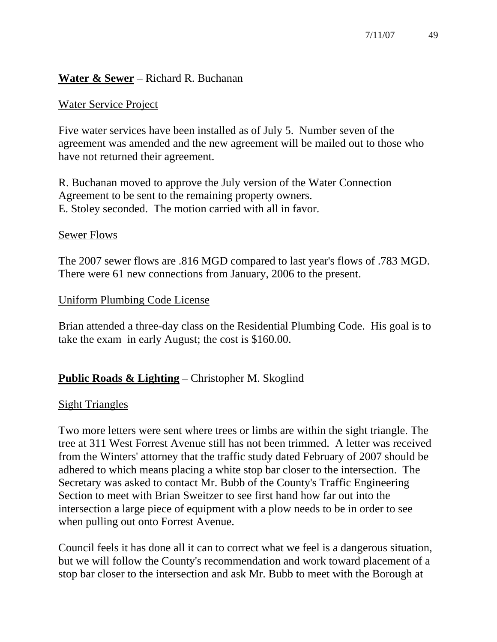## **Water & Sewer** – Richard R. Buchanan

### Water Service Project

Five water services have been installed as of July 5. Number seven of the agreement was amended and the new agreement will be mailed out to those who have not returned their agreement.

R. Buchanan moved to approve the July version of the Water Connection Agreement to be sent to the remaining property owners. E. Stoley seconded. The motion carried with all in favor.

#### Sewer Flows

The 2007 sewer flows are .816 MGD compared to last year's flows of .783 MGD. There were 61 new connections from January, 2006 to the present.

#### Uniform Plumbing Code License

Brian attended a three-day class on the Residential Plumbing Code. His goal is to take the exam in early August; the cost is \$160.00.

## **Public Roads & Lighting** – Christopher M. Skoglind

#### Sight Triangles

Two more letters were sent where trees or limbs are within the sight triangle. The tree at 311 West Forrest Avenue still has not been trimmed. A letter was received from the Winters' attorney that the traffic study dated February of 2007 should be adhered to which means placing a white stop bar closer to the intersection. The Secretary was asked to contact Mr. Bubb of the County's Traffic Engineering Section to meet with Brian Sweitzer to see first hand how far out into the intersection a large piece of equipment with a plow needs to be in order to see when pulling out onto Forrest Avenue.

Council feels it has done all it can to correct what we feel is a dangerous situation, but we will follow the County's recommendation and work toward placement of a stop bar closer to the intersection and ask Mr. Bubb to meet with the Borough at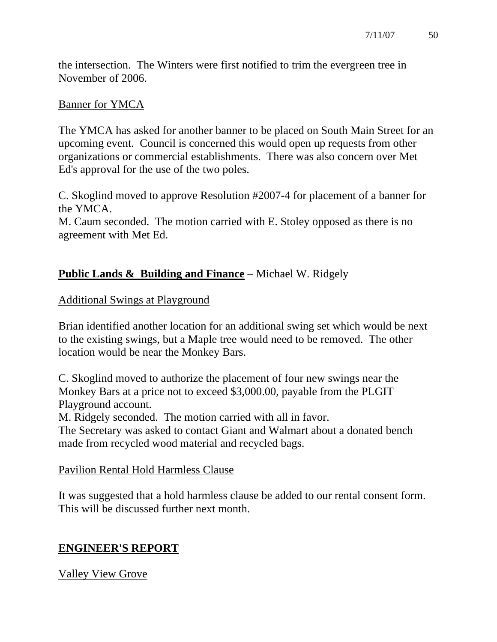the intersection. The Winters were first notified to trim the evergreen tree in November of 2006.

## Banner for YMCA

The YMCA has asked for another banner to be placed on South Main Street for an upcoming event. Council is concerned this would open up requests from other organizations or commercial establishments. There was also concern over Met Ed's approval for the use of the two poles.

C. Skoglind moved to approve Resolution #2007-4 for placement of a banner for the YMCA.

M. Caum seconded. The motion carried with E. Stoley opposed as there is no agreement with Met Ed.

# **Public Lands & Building and Finance** – Michael W. Ridgely

## Additional Swings at Playground

Brian identified another location for an additional swing set which would be next to the existing swings, but a Maple tree would need to be removed. The other location would be near the Monkey Bars.

C. Skoglind moved to authorize the placement of four new swings near the Monkey Bars at a price not to exceed \$3,000.00, payable from the PLGIT Playground account.

M. Ridgely seconded. The motion carried with all in favor.

The Secretary was asked to contact Giant and Walmart about a donated bench made from recycled wood material and recycled bags.

## Pavilion Rental Hold Harmless Clause

It was suggested that a hold harmless clause be added to our rental consent form. This will be discussed further next month.

# **ENGINEER'S REPORT**

# Valley View Grove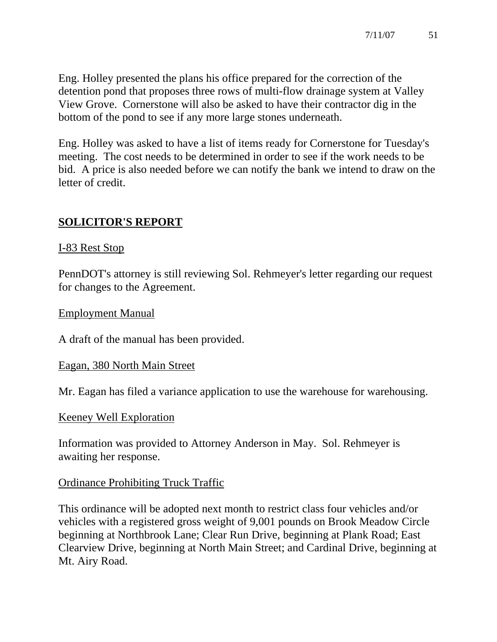Eng. Holley presented the plans his office prepared for the correction of the detention pond that proposes three rows of multi-flow drainage system at Valley View Grove. Cornerstone will also be asked to have their contractor dig in the bottom of the pond to see if any more large stones underneath.

Eng. Holley was asked to have a list of items ready for Cornerstone for Tuesday's meeting. The cost needs to be determined in order to see if the work needs to be bid. A price is also needed before we can notify the bank we intend to draw on the letter of credit.

## **SOLICITOR'S REPORT**

### I-83 Rest Stop

PennDOT's attorney is still reviewing Sol. Rehmeyer's letter regarding our request for changes to the Agreement.

#### Employment Manual

A draft of the manual has been provided.

#### Eagan, 380 North Main Street

Mr. Eagan has filed a variance application to use the warehouse for warehousing.

#### Keeney Well Exploration

Information was provided to Attorney Anderson in May. Sol. Rehmeyer is awaiting her response.

## Ordinance Prohibiting Truck Traffic

This ordinance will be adopted next month to restrict class four vehicles and/or vehicles with a registered gross weight of 9,001 pounds on Brook Meadow Circle beginning at Northbrook Lane; Clear Run Drive, beginning at Plank Road; East Clearview Drive, beginning at North Main Street; and Cardinal Drive, beginning at Mt. Airy Road.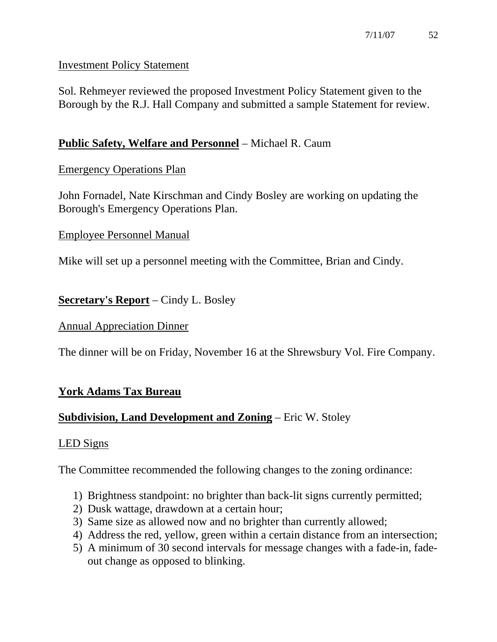## Investment Policy Statement

Sol. Rehmeyer reviewed the proposed Investment Policy Statement given to the Borough by the R.J. Hall Company and submitted a sample Statement for review.

# **Public Safety, Welfare and Personnel** – Michael R. Caum

# Emergency Operations Plan

John Fornadel, Nate Kirschman and Cindy Bosley are working on updating the Borough's Emergency Operations Plan.

## Employee Personnel Manual

Mike will set up a personnel meeting with the Committee, Brian and Cindy.

# **Secretary's Report** – Cindy L. Bosley

## Annual Appreciation Dinner

The dinner will be on Friday, November 16 at the Shrewsbury Vol. Fire Company.

# **York Adams Tax Bureau**

# **Subdivision, Land Development and Zoning** – Eric W. Stoley

# LED Signs

The Committee recommended the following changes to the zoning ordinance:

- 1) Brightness standpoint: no brighter than back-lit signs currently permitted;
- 2) Dusk wattage, drawdown at a certain hour;
- 3) Same size as allowed now and no brighter than currently allowed;
- 4) Address the red, yellow, green within a certain distance from an intersection;
- 5) A minimum of 30 second intervals for message changes with a fade-in, fadeout change as opposed to blinking.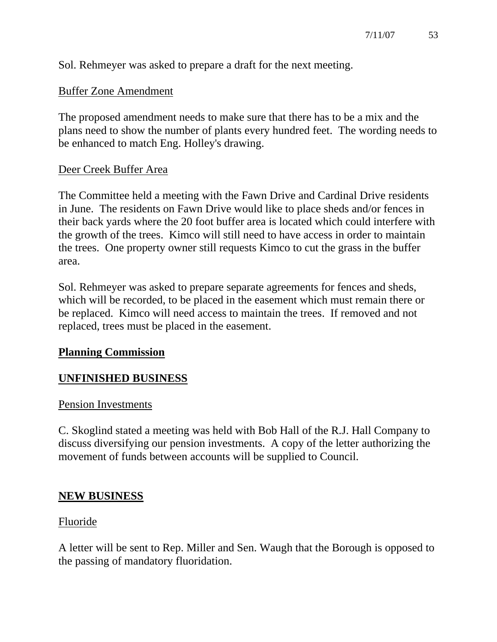Sol. Rehmeyer was asked to prepare a draft for the next meeting.

## Buffer Zone Amendment

The proposed amendment needs to make sure that there has to be a mix and the plans need to show the number of plants every hundred feet. The wording needs to be enhanced to match Eng. Holley's drawing.

#### Deer Creek Buffer Area

The Committee held a meeting with the Fawn Drive and Cardinal Drive residents in June. The residents on Fawn Drive would like to place sheds and/or fences in their back yards where the 20 foot buffer area is located which could interfere with the growth of the trees. Kimco will still need to have access in order to maintain the trees. One property owner still requests Kimco to cut the grass in the buffer area.

Sol. Rehmeyer was asked to prepare separate agreements for fences and sheds, which will be recorded, to be placed in the easement which must remain there or be replaced. Kimco will need access to maintain the trees. If removed and not replaced, trees must be placed in the easement.

#### **Planning Commission**

## **UNFINISHED BUSINESS**

#### Pension Investments

C. Skoglind stated a meeting was held with Bob Hall of the R.J. Hall Company to discuss diversifying our pension investments. A copy of the letter authorizing the movement of funds between accounts will be supplied to Council.

## **NEW BUSINESS**

#### Fluoride

A letter will be sent to Rep. Miller and Sen. Waugh that the Borough is opposed to the passing of mandatory fluoridation.